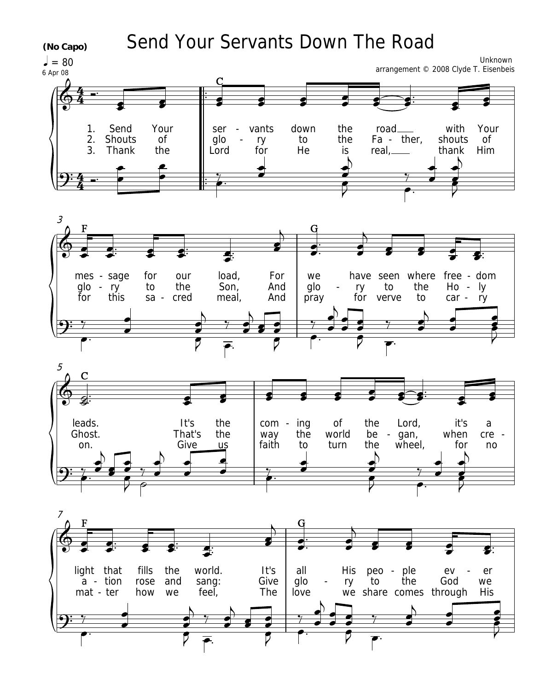